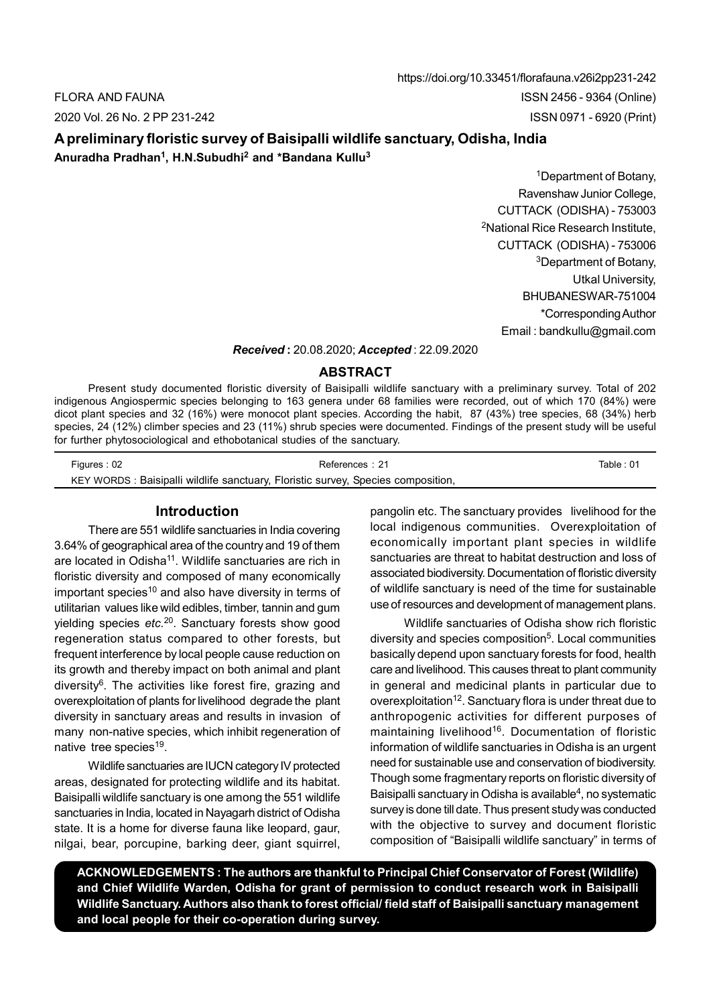https://doi.org/10.33451/florafauna.v26i2pp231-242 FLORA AND FAUNA ISSN 2456 - 9364 (Online) 2020 Vol. 26 No. 2 PP 231-242 ISSN 0971 - 6920 (Print)

# A preliminary floristic survey of Baisipalli wildlife sanctuary, Odisha, India Anuradha Pradhan<sup>1</sup>, H.N.Subudhi<sup>2</sup> and \*Bandana Kullu<sup>3</sup>

<sup>1</sup>Department of Botany, Ravenshaw Junior College, CUTTACK (ODISHA) - 753003 <sup>2</sup>National Rice Research Institute, CUTTACK (ODISHA) - 753006 <sup>3</sup>Department of Botany, Utkal University, BHUBANESWAR-751004 \*Corresponding Author Email : bandkullu@gmail.com

## Received : 20.08.2020; Accepted : 22.09.2020

#### ABSTRACT

Present study documented floristic diversity of Baisipalli wildlife sanctuary with a preliminary survey. Total of 202 indigenous Angiospermic species belonging to 163 genera under 68 families were recorded, out of which 170 (84%) were dicot plant species and 32 (16%) were monocot plant species. According the habit, 87 (43%) tree species, 68 (34%) herb species, 24 (12%) climber species and 23 (11%) shrub species were documented. Findings of the present study will be useful for further phytosociological and ethobotanical studies of the sanctuary.

| Figures: 02 | References: 21                                                                   | Table : 01 |
|-------------|----------------------------------------------------------------------------------|------------|
|             | KEY WORDS: Baisipalli wildlife sanctuary, Floristic survey, Species composition, |            |

## Introduction

There are 551 wildlife sanctuaries in India covering 3.64% of geographical area of the country and 19 of them are located in Odisha<sup>11</sup>. Wildlife sanctuaries are rich in floristic diversity and composed of many economically important species<sup>10</sup> and also have diversity in terms of utilitarian values like wild edibles, timber, tannin and gum yielding species etc.<sup>20</sup>. Sanctuary forests show good regeneration status compared to other forests, but frequent interference by local people cause reduction on its growth and thereby impact on both animal and plant diversity<sup>6</sup>. The activities like forest fire, grazing and overexploitation of plants for livelihood degrade the plant diversity in sanctuary areas and results in invasion of many non-native species, which inhibit regeneration of native tree species<sup>19</sup>.

Wildlife sanctuaries are IUCN category IV protected areas, designated for protecting wildlife and its habitat. Baisipalli wildlife sanctuary is one among the 551 wildlife sanctuaries in India, located in Nayagarh district of Odisha state. It is a home for diverse fauna like leopard, gaur, nilgai, bear, porcupine, barking deer, giant squirrel, pangolin etc. The sanctuary provides livelihood for the local indigenous communities. Overexploitation of economically important plant species in wildlife sanctuaries are threat to habitat destruction and loss of associated biodiversity. Documentation of floristic diversity of wildlife sanctuary is need of the time for sustainable use of resources and development of management plans.

Wildlife sanctuaries of Odisha show rich floristic diversity and species composition<sup>5</sup>. Local communities basically depend upon sanctuary forests for food, health care and livelihood. This causes threat to plant community in general and medicinal plants in particular due to overexploitation<sup>12</sup>. Sanctuary flora is under threat due to anthropogenic activities for different purposes of maintaining livelihood<sup>16</sup>. Documentation of floristic information of wildlife sanctuaries in Odisha is an urgent need for sustainable use and conservation of biodiversity. Though some fragmentary reports on floristic diversity of Baisipalli sanctuary in Odisha is available<sup>4</sup>, no systematic survey is done till date. Thus present study was conducted with the objective to survey and document floristic composition of "Baisipalli wildlife sanctuary" in terms of

ACKNOWLEDGEMENTS : The authors are thankful to Principal Chief Conservator of Forest (Wildlife) and Chief Wildlife Warden, Odisha for grant of permission to conduct research work in Baisipalli Wildlife Sanctuary. Authors also thank to forest official/ field staff of Baisipalli sanctuary management and local people for their co-operation during survey.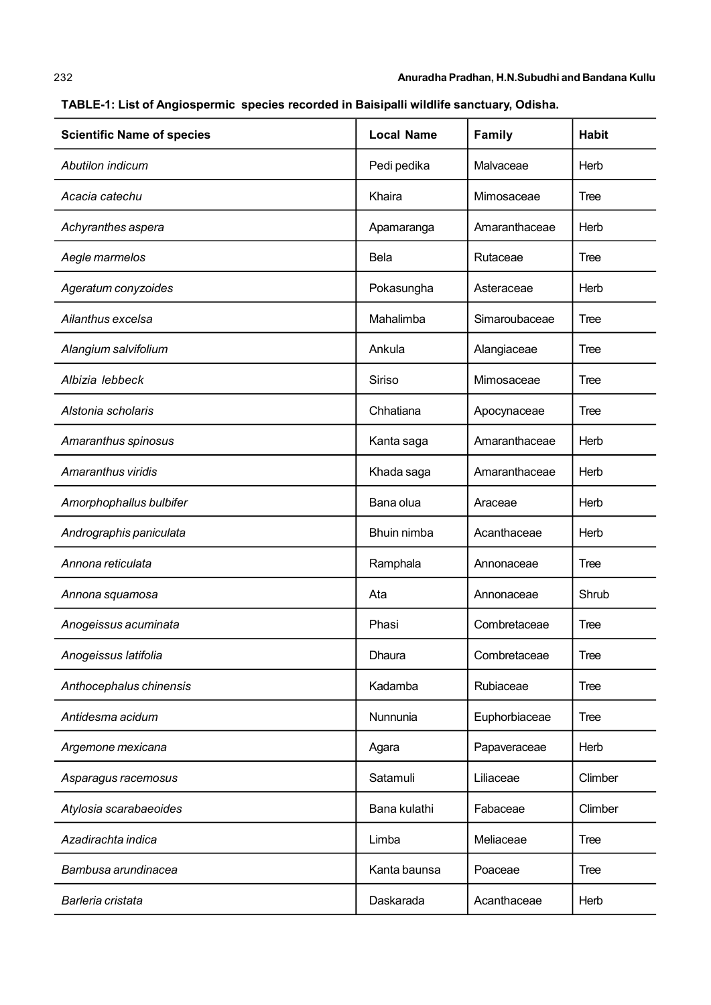| <b>Scientific Name of species</b> | <b>Local Name</b> | <b>Family</b> | <b>Habit</b> |
|-----------------------------------|-------------------|---------------|--------------|
| Abutilon indicum                  | Pedi pedika       | Malvaceae     | Herb         |
| Acacia catechu                    | Khaira            | Mimosaceae    | Tree         |
| Achyranthes aspera                | Apamaranga        | Amaranthaceae | Herb         |
| Aegle marmelos                    | <b>Bela</b>       | Rutaceae      | Tree         |
| Ageratum conyzoides               | Pokasungha        | Asteraceae    | Herb         |
| Ailanthus excelsa                 | Mahalimba         | Simaroubaceae | Tree         |
| Alangium salvifolium              | Ankula            | Alangiaceae   | Tree         |
| Albizia lebbeck                   | Siriso            | Mimosaceae    | Tree         |
| Alstonia scholaris                | Chhatiana         | Apocynaceae   | Tree         |
| Amaranthus spinosus               | Kanta saga        | Amaranthaceae | Herb         |
| Amaranthus viridis                | Khada saga        | Amaranthaceae | Herb         |
| Amorphophallus bulbifer           | Bana olua         | Araceae       | Herb         |
| Andrographis paniculata           | Bhuin nimba       | Acanthaceae   | Herb         |
| Annona reticulata                 | Ramphala          | Annonaceae    | Tree         |
| Annona squamosa                   | Ata               | Annonaceae    | Shrub        |
| Anogeissus acuminata              | Phasi             | Combretaceae  | Tree         |
| Anogeissus latifolia              | Dhaura            | Combretaceae  | I ree        |
| Anthocephalus chinensis           | Kadamba           | Rubiaceae     | Tree         |
| Antidesma acidum                  | <b>Nunnunia</b>   | Euphorbiaceae | Tree         |
| Argemone mexicana                 | Agara             | Papaveraceae  | Herb         |
| Asparagus racemosus               | Satamuli          | Liliaceae     | Climber      |
| Atylosia scarabaeoides            | Bana kulathi      | Fabaceae      | Climber      |
| Azadirachta indica                | Limba             | Meliaceae     | Tree         |
| Bambusa arundinacea               | Kanta baunsa      | Poaceae       | Tree         |
| Barleria cristata                 | Daskarada         | Acanthaceae   | Herb         |

TABLE-1: List of Angiospermic species recorded in Baisipalli wildlife sanctuary, Odisha.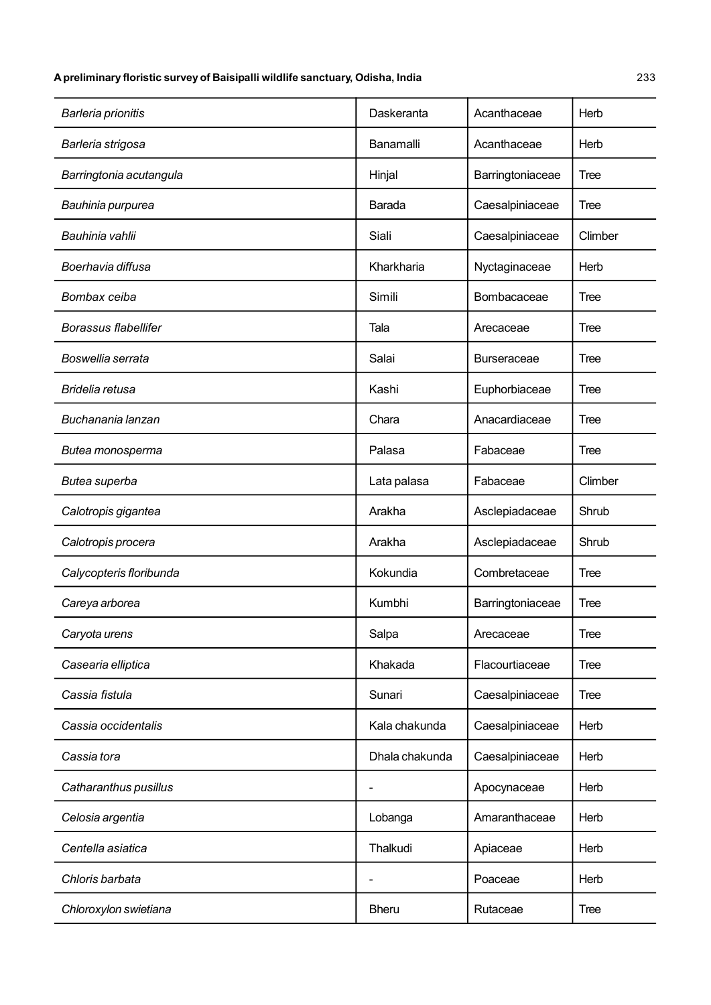| Daskeranta     | Acanthaceae        | Herb        |
|----------------|--------------------|-------------|
| Banamalli      | Acanthaceae        | Herb        |
| Hinjal         | Barringtoniaceae   | <b>Tree</b> |
| Barada         | Caesalpiniaceae    | Tree        |
| Siali          | Caesalpiniaceae    | Climber     |
| Kharkharia     | Nyctaginaceae      | Herb        |
| Simili         | Bombacaceae        | Tree        |
| Tala           | Arecaceae          | Tree        |
| Salai          | <b>Burseraceae</b> | Tree        |
| Kashi          | Euphorbiaceae      | Tree        |
| Chara          | Anacardiaceae      | Tree        |
| Palasa         | Fabaceae           | Tree        |
| Lata palasa    | Fabaceae           | Climber     |
| Arakha         | Asclepiadaceae     | Shrub       |
| Arakha         | Asclepiadaceae     | Shrub       |
| Kokundia       | Combretaceae       | Tree        |
| Kumbhi         | Barringtoniaceae   | <b>Tree</b> |
| Salpa          | Arecaceae          | Tree        |
| Khakada        | Flacourtiaceae     | Tree        |
| Sunari         | Caesalpiniaceae    | Tree        |
| Kala chakunda  | Caesalpiniaceae    | Herb        |
| Dhala chakunda | Caesalpiniaceae    | Herb        |
|                | Apocynaceae        | Herb        |
| Lobanga        | Amaranthaceae      | Herb        |
| Thalkudi       | Apiaceae           | Herb        |
|                | Poaceae            | Herb        |
| <b>Bheru</b>   | Rutaceae           | Tree        |
|                |                    |             |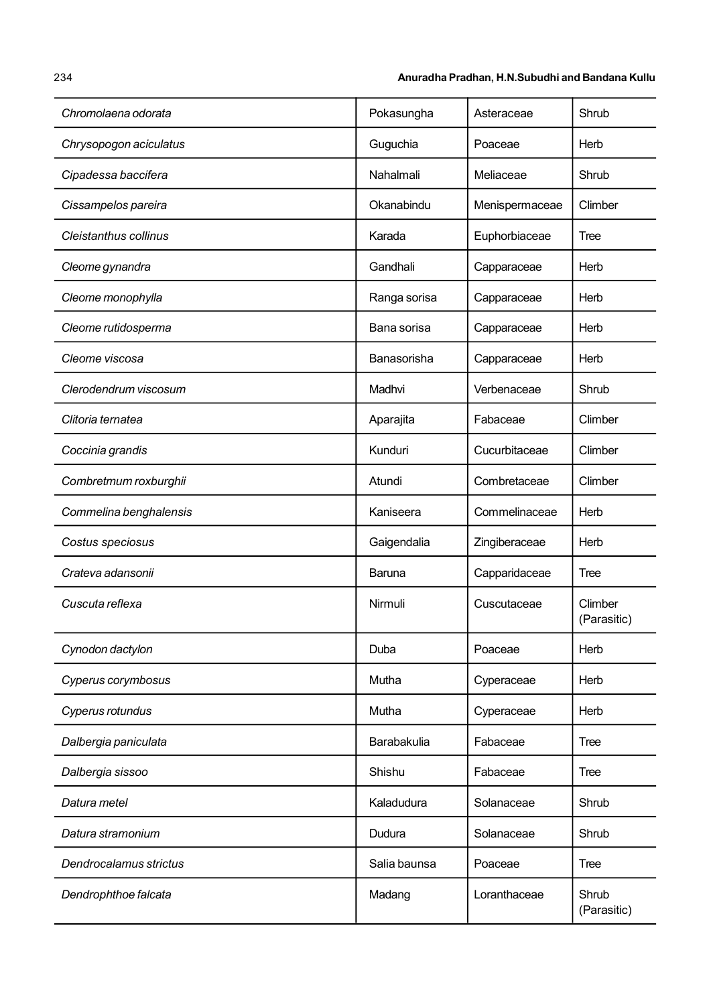| Chromolaena odorata    | Pokasungha   | Asteraceae     | Shrub                  |
|------------------------|--------------|----------------|------------------------|
| Chrysopogon aciculatus | Guguchia     | Poaceae        | Herb                   |
| Cipadessa baccifera    | Nahalmali    | Meliaceae      | Shrub                  |
| Cissampelos pareira    | Okanabindu   | Menispermaceae | Climber                |
| Cleistanthus collinus  | Karada       | Euphorbiaceae  | Tree                   |
| Cleome gynandra        | Gandhali     | Capparaceae    | Herb                   |
| Cleome monophylla      | Ranga sorisa | Capparaceae    | Herb                   |
| Cleome rutidosperma    | Bana sorisa  | Capparaceae    | Herb                   |
| Cleome viscosa         | Banasorisha  | Capparaceae    | Herb                   |
| Clerodendrum viscosum  | Madhvi       | Verbenaceae    | Shrub                  |
| Clitoria ternatea      | Aparajita    | Fabaceae       | Climber                |
| Coccinia grandis       | Kunduri      | Cucurbitaceae  | Climber                |
| Combretmum roxburghii  | Atundi       | Combretaceae   | Climber                |
| Commelina benghalensis | Kaniseera    | Commelinaceae  | Herb                   |
| Costus speciosus       | Gaigendalia  | Zingiberaceae  | Herb                   |
| Crateva adansonii      | Baruna       | Capparidaceae  | Tree                   |
| Cuscuta reflexa        | Nirmuli      | Cuscutaceae    | Climber<br>(Parasitic) |
| Cynodon dactylon       | Duba         | Poaceae        | Herb                   |
| Cyperus corymbosus     | Mutha        | Cyperaceae     | Herb                   |
| Cyperus rotundus       | Mutha        | Cyperaceae     | Herb                   |
| Dalbergia paniculata   | Barabakulia  | Fabaceae       | Tree                   |
| Dalbergia sissoo       | Shishu       | Fabaceae       | Tree                   |
| Datura metel           | Kaladudura   | Solanaceae     | Shrub                  |
| Datura stramonium      | Dudura       | Solanaceae     | Shrub                  |
| Dendrocalamus strictus | Salia baunsa | Poaceae        | Tree                   |
| Dendrophthoe falcata   | Madang       | Loranthaceae   | Shrub<br>(Parasitic)   |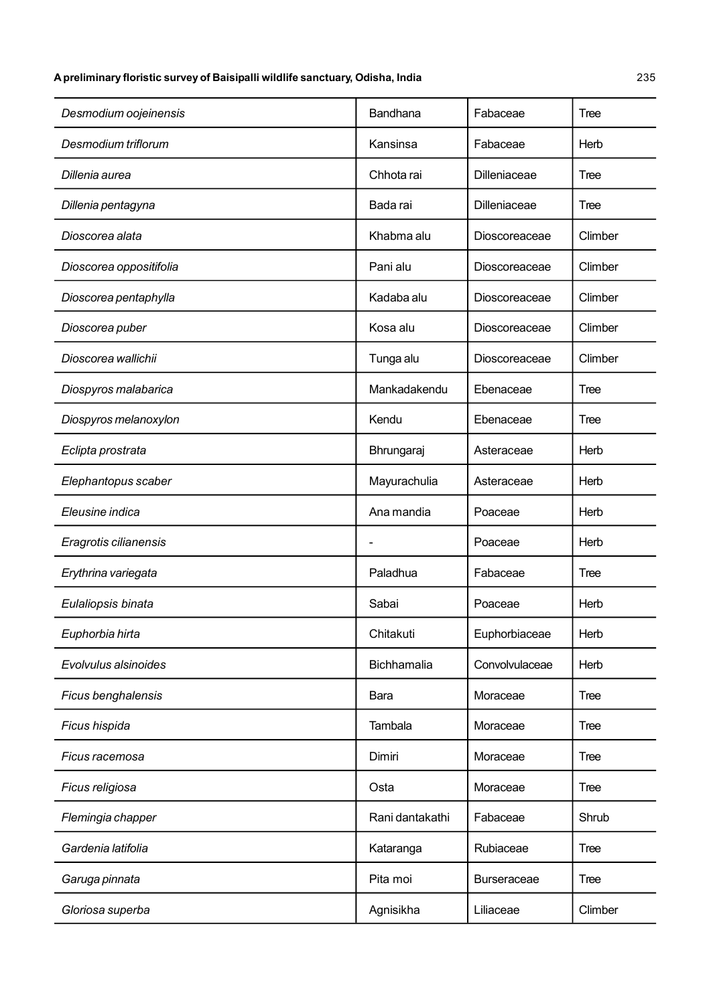| Desmodium oojeinensis   | Bandhana        | Fabaceae           | Tree        |
|-------------------------|-----------------|--------------------|-------------|
| Desmodium triflorum     | Kansinsa        | Fabaceae           | Herb        |
| Dillenia aurea          | Chhota rai      | Dilleniaceae       | Tree        |
| Dillenia pentagyna      | Bada rai        | Dilleniaceae       | Tree        |
| Dioscorea alata         | Khabma alu      | Dioscoreaceae      | Climber     |
| Dioscorea oppositifolia | Pani alu        | Dioscoreaceae      | Climber     |
| Dioscorea pentaphylla   | Kadaba alu      | Dioscoreaceae      | Climber     |
| Dioscorea puber         | Kosa alu        | Dioscoreaceae      | Climber     |
| Dioscorea wallichii     | Tunga alu       | Dioscoreaceae      | Climber     |
| Diospyros malabarica    | Mankadakendu    | Ebenaceae          | Tree        |
| Diospyros melanoxylon   | Kendu           | Ebenaceae          | Tree        |
| Eclipta prostrata       | Bhrungaraj      | Asteraceae         | Herb        |
| Elephantopus scaber     | Mayurachulia    | Asteraceae         | Herb        |
| Eleusine indica         | Ana mandia      | Poaceae            | Herb        |
| Eragrotis cilianensis   |                 | Poaceae            | Herb        |
| Erythrina variegata     | Paladhua        | Fabaceae           | Tree        |
| Eulaliopsis binata      | Sabai           | Poaceae            | Herb        |
| Euphorbia hirta         | Chitakuti       | Euphorbiaceae      | Herb        |
| Evolvulus alsinoides    | Bichhamalia     | Convolvulaceae     | Herb        |
| Ficus benghalensis      | Bara            | Moraceae           | Tree        |
| Ficus hispida           | Tambala         | Moraceae           | Tree        |
| Ficus racemosa          | Dimiri          | Moraceae           | Tree        |
| Ficus religiosa         | Osta            | Moraceae           | Tree        |
| Flemingia chapper       | Rani dantakathi | Fabaceae           | Shrub       |
| Gardenia latifolia      | Kataranga       | Rubiaceae          | <b>Tree</b> |
| Garuga pinnata          | Pita moi        | <b>Burseraceae</b> | Tree        |
| Gloriosa superba        | Agnisikha       | Liliaceae          | Climber     |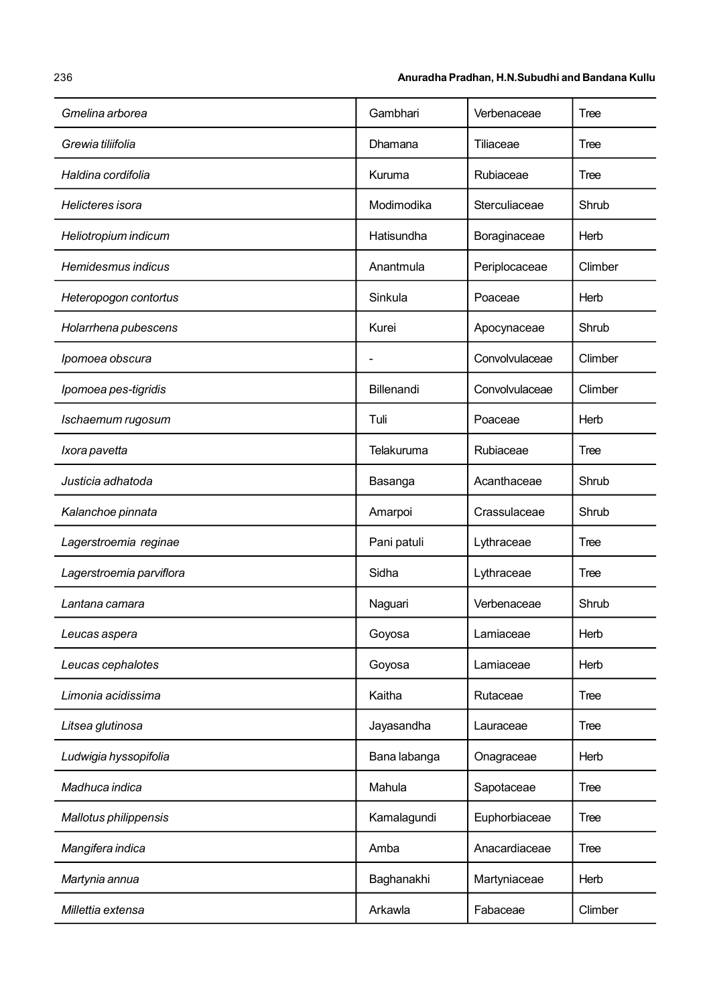| Gmelina arborea          | Gambhari     | Verbenaceae    | Tree    |
|--------------------------|--------------|----------------|---------|
| Grewia tiliifolia        | Dhamana      | Tiliaceae      | Tree    |
| Haldina cordifolia       | Kuruma       | Rubiaceae      | Tree    |
| Helicteres isora         | Modimodika   | Sterculiaceae  | Shrub   |
| Heliotropium indicum     | Hatisundha   | Boraginaceae   | Herb    |
| Hemidesmus indicus       | Anantmula    | Periplocaceae  | Climber |
| Heteropogon contortus    | Sinkula      | Poaceae        | Herb    |
| Holarrhena pubescens     | Kurei        | Apocynaceae    | Shrub   |
| Ipomoea obscura          |              | Convolvulaceae | Climber |
| Ipomoea pes-tigridis     | Billenandi   | Convolvulaceae | Climber |
| Ischaemum rugosum        | Tuli         | Poaceae        | Herb    |
| Ixora pavetta            | Telakuruma   | Rubiaceae      | Tree    |
| Justicia adhatoda        | Basanga      | Acanthaceae    | Shrub   |
| Kalanchoe pinnata        | Amarpoi      | Crassulaceae   | Shrub   |
| Lagerstroemia reginae    | Pani patuli  | Lythraceae     | Tree    |
| Lagerstroemia parviflora | Sidha        | Lythraceae     | Tree    |
| Lantana camara           | Naguari      | Verbenaceae    | Shrub   |
| Leucas aspera            | Goyosa       | Lamiaceae      | Herb    |
| Leucas cephalotes        | Goyosa       | Lamiaceae      | Herb    |
| Limonia acidissima       | Kaitha       | Rutaceae       | Tree    |
| Litsea glutinosa         | Jayasandha   | Lauraceae      | Tree    |
| Ludwigia hyssopifolia    | Bana labanga | Onagraceae     | Herb    |
| Madhuca indica           | Mahula       | Sapotaceae     | Tree    |
| Mallotus philippensis    | Kamalagundi  | Euphorbiaceae  | Tree    |
| Mangifera indica         | Amba         | Anacardiaceae  | Tree    |
| Martynia annua           | Baghanakhi   | Martyniaceae   | Herb    |
| Millettia extensa        | Arkawla      | Fabaceae       | Climber |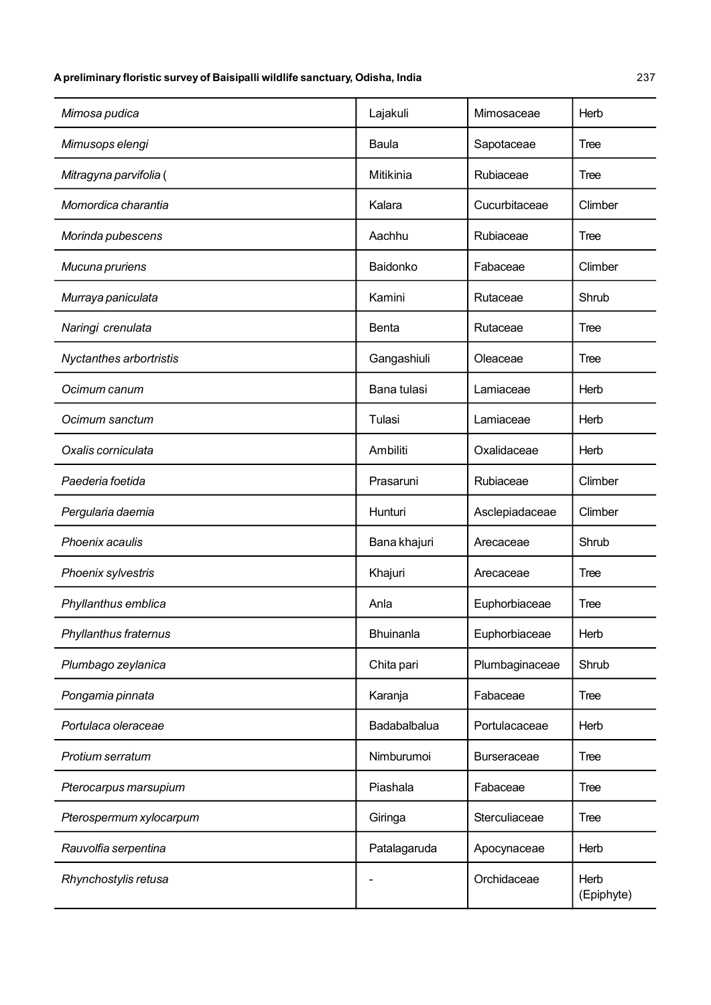| Mimosa pudica           | Lajakuli     | Mimosaceae         | Herb               |
|-------------------------|--------------|--------------------|--------------------|
| Mimusops elengi         | Baula        | Sapotaceae         | Tree               |
| Mitragyna parvifolia (  | Mitikinia    | Rubiaceae          | Tree               |
| Momordica charantia     | Kalara       | Cucurbitaceae      | Climber            |
| Morinda pubescens       | Aachhu       | Rubiaceae          | Tree               |
| Mucuna pruriens         | Baidonko     | Fabaceae           | Climber            |
| Murraya paniculata      | Kamini       | Rutaceae           | Shrub              |
| Naringi crenulata       | <b>Benta</b> | Rutaceae           | Tree               |
| Nyctanthes arbortristis | Gangashiuli  | Oleaceae           | Tree               |
| Ocimum canum            | Bana tulasi  | Lamiaceae          | Herb               |
| Ocimum sanctum          | Tulasi       | Lamiaceae          | Herb               |
| Oxalis corniculata      | Ambiliti     | Oxalidaceae        | Herb               |
| Paederia foetida        | Prasaruni    | Rubiaceae          | Climber            |
| Pergularia daemia       | Hunturi      | Asclepiadaceae     | Climber            |
| Phoenix acaulis         | Bana khajuri | Arecaceae          | Shrub              |
| Phoenix sylvestris      | Khajuri      | Arecaceae          | Tree               |
| Phyllanthus emblica     | Anla         | Euphorbiaceae      | Tree               |
| Phyllanthus fraternus   | Bhuinanla    | Euphorbiaceae      | Herb               |
| Plumbago zeylanica      | Chita pari   | Plumbaginaceae     | Shrub              |
| Pongamia pinnata        | Karanja      | Fabaceae           | Tree               |
| Portulaca oleraceae     | Badabalbalua | Portulacaceae      | Herb               |
| Protium serratum        | Nimburumoi   | <b>Burseraceae</b> | Tree               |
| Pterocarpus marsupium   | Piashala     | Fabaceae           | Tree               |
| Pterospermum xylocarpum | Giringa      | Sterculiaceae      | Tree               |
| Rauvolfia serpentina    | Patalagaruda | Apocynaceae        | Herb               |
| Rhynchostylis retusa    |              | Orchidaceae        | Herb<br>(Epiphyte) |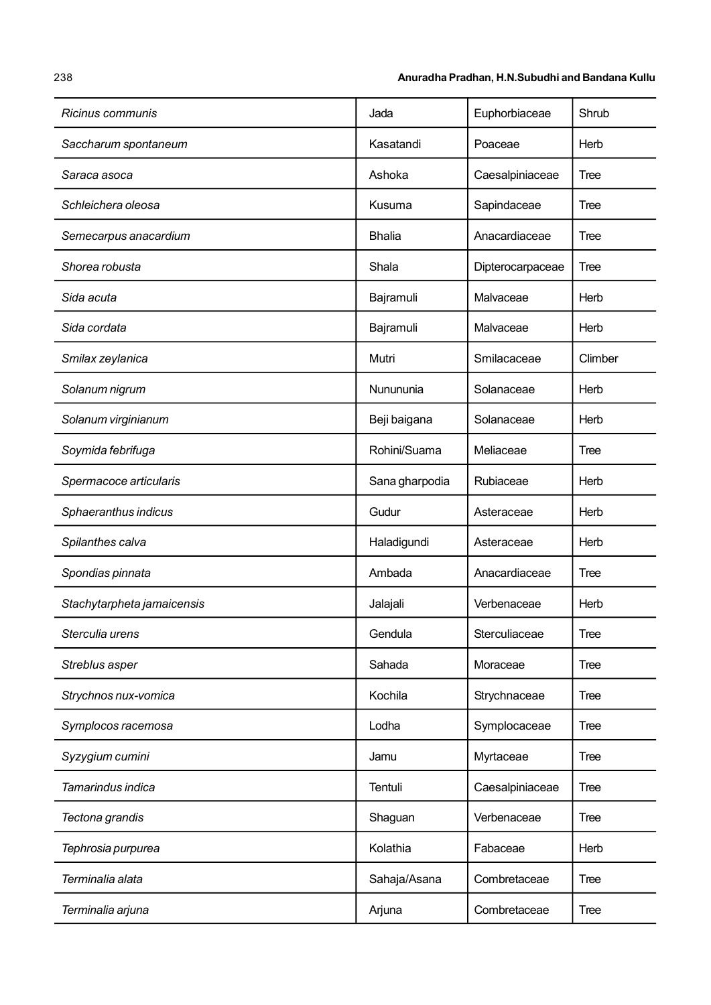### 238 Anuradha Pradhan, H.N.Subudhi and Bandana Kullu

| Ricinus communis           | Jada           | Euphorbiaceae    | Shrub       |
|----------------------------|----------------|------------------|-------------|
| Saccharum spontaneum       | Kasatandi      | Poaceae          | Herb        |
| Saraca asoca               | Ashoka         | Caesalpiniaceae  | Tree        |
| Schleichera oleosa         | Kusuma         | Sapindaceae      | Tree        |
| Semecarpus anacardium      | <b>Bhalia</b>  | Anacardiaceae    | Tree        |
| Shorea robusta             | Shala          | Dipterocarpaceae | Tree        |
| Sida acuta                 | Bajramuli      | Malvaceae        | Herb        |
| Sida cordata               | Bajramuli      | Malvaceae        | Herb        |
| Smilax zeylanica           | Mutri          | Smilacaceae      | Climber     |
| Solanum nigrum             | Nunununia      | Solanaceae       | Herb        |
| Solanum virginianum        | Beji baigana   | Solanaceae       | Herb        |
| Soymida febrifuga          | Rohini/Suama   | Meliaceae        | Tree        |
| Spermacoce articularis     | Sana gharpodia | Rubiaceae        | Herb        |
| Sphaeranthus indicus       | Gudur          | Asteraceae       | Herb        |
| Spilanthes calva           | Haladigundi    | Asteraceae       | Herb        |
| Spondias pinnata           | Ambada         | Anacardiaceae    | Tree        |
| Stachytarpheta jamaicensis | Jalajali       | Verbenaceae      | Herb        |
| Sterculia urens            | Gendula        | Sterculiaceae    | <b>Tree</b> |
| Streblus asper             | Sahada         | Moraceae         | Tree        |
| Strychnos nux-vomica       | Kochila        | Strychnaceae     | Tree        |
| Symplocos racemosa         | Lodha          | Symplocaceae     | Tree        |
| Syzygium cumini            | Jamu           | Myrtaceae        | Tree        |
| Tamarindus indica          | Tentuli        | Caesalpiniaceae  | Tree        |
| Tectona grandis            | Shaguan        | Verbenaceae      | Tree        |
| Tephrosia purpurea         | Kolathia       | Fabaceae         | Herb        |
| Terminalia alata           | Sahaja/Asana   | Combretaceae     | Tree        |
| Terminalia arjuna          | Arjuna         | Combretaceae     | Tree        |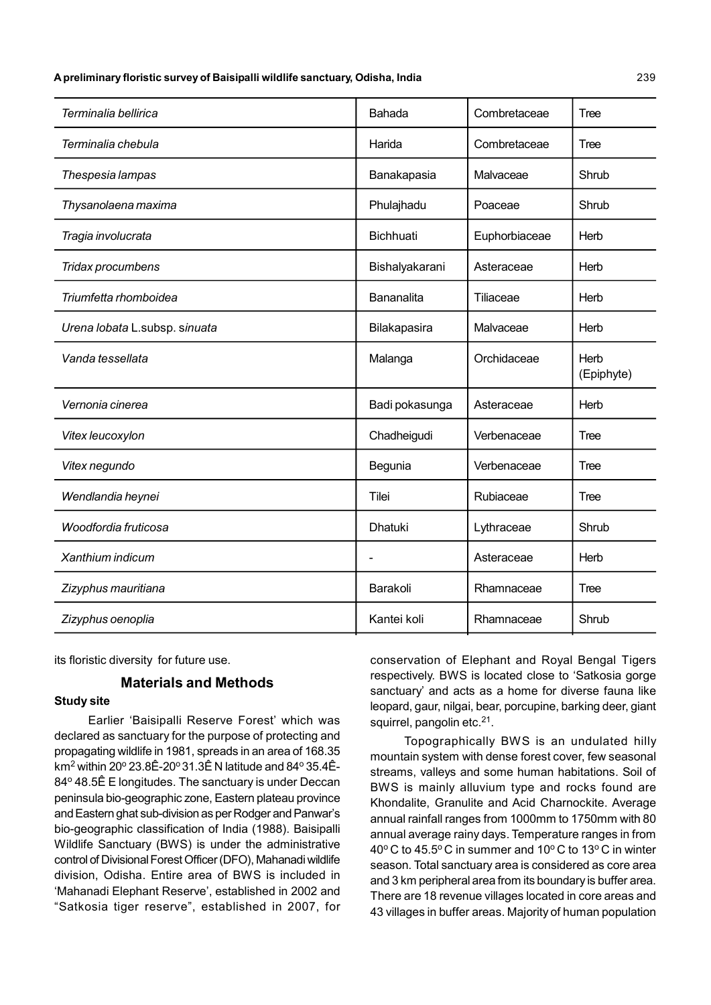| Terminalia bellirica          | Bahada           | Combretaceae  | <b>Tree</b>        |
|-------------------------------|------------------|---------------|--------------------|
| Terminalia chebula            | Harida           | Combretaceae  | Tree               |
| Thespesia lampas              | Banakapasia      | Malvaceae     | Shrub              |
| Thysanolaena maxima           | Phulajhadu       | Poaceae       | Shrub              |
| Tragia involucrata            | <b>Bichhuati</b> | Euphorbiaceae | Herb               |
| Tridax procumbens             | Bishalyakarani   | Asteraceae    | Herb               |
| Triumfetta rhomboidea         | Bananalita       | Tiliaceae     | Herb               |
| Urena lobata L.subsp. sinuata | Bilakapasira     | Malvaceae     | Herb               |
| Vanda tessellata              | Malanga          | Orchidaceae   | Herb<br>(Epiphyte) |
| Vernonia cinerea              | Badi pokasunga   | Asteraceae    | Herb               |
| Vitex leucoxylon              | Chadheigudi      | Verbenaceae   | Tree               |
| Vitex negundo                 | Begunia          | Verbenaceae   | Tree               |
| Wendlandia heynei             | Tilei            | Rubiaceae     | Tree               |
| Woodfordia fruticosa          | <b>Dhatuki</b>   | Lythraceae    | Shrub              |
| Xanthium indicum              |                  | Asteraceae    | Herb               |
| Zizyphus mauritiana           | Barakoli         | Rhamnaceae    | Tree               |
| Zizyphus oenoplia             | Kantei koli      | Rhamnaceae    | Shrub              |

its floristic diversity for future use.

#### Materials and Methods

#### Study site

Earlier 'Baisipalli Reserve Forest' which was declared as sanctuary for the purpose of protecting and propagating wildlife in 1981, spreads in an area of 168.35 km $^2$  within 20º 23.8Ê-20º 31.3Ê N latitude and 84º 35.4Ê-84<sup>o</sup> 48.5Ê E longitudes. The sanctuary is under Deccan peninsula bio-geographic zone, Eastern plateau province and Eastern ghat sub-division as per Rodger and Panwar's bio-geographic classification of India (1988). Baisipalli Wildlife Sanctuary (BWS) is under the administrative control of Divisional Forest Officer (DFO), Mahanadi wildlife division, Odisha. Entire area of BWS is included in 'Mahanadi Elephant Reserve', established in 2002 and "Satkosia tiger reserve", established in 2007, for conservation of Elephant and Royal Bengal Tigers respectively. BWS is located close to 'Satkosia gorge sanctuary' and acts as a home for diverse fauna like leopard, gaur, nilgai, bear, porcupine, barking deer, giant squirrel, pangolin etc.<sup>21</sup>.

Topographically BWS is an undulated hilly mountain system with dense forest cover, few seasonal streams, valleys and some human habitations. Soil of BWS is mainly alluvium type and rocks found are Khondalite, Granulite and Acid Charnockite. Average annual rainfall ranges from 1000mm to 1750mm with 80 annual average rainy days. Temperature ranges in from 40 $\degree$ C to 45.5 $\degree$ C in summer and 10 $\degree$ C to 13 $\degree$ C in winter season. Total sanctuary area is considered as core area and 3 km peripheral area from its boundary is buffer area. There are 18 revenue villages located in core areas and 43 villages in buffer areas. Majority of human population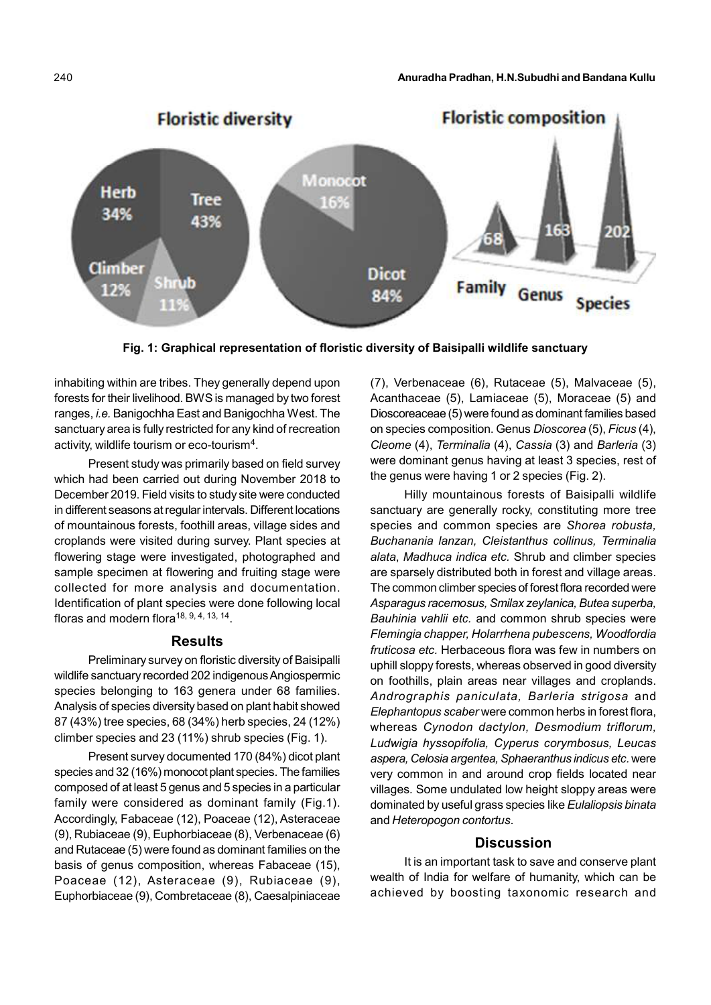

Fig. 1: Graphical representation of floristic diversity of Baisipalli wildlife sanctuary

inhabiting within are tribes. They generally depend upon forests for their livelihood. BWS is managed by two forest ranges, i.e. Banigochha East and Banigochha West. The sanctuary area is fully restricted for any kind of recreation activity, wildlife tourism or eco-tourism<sup>4</sup>.

Present study was primarily based on field survey which had been carried out during November 2018 to December 2019. Field visits to study site were conducted in different seasons at regular intervals. Different locations of mountainous forests, foothill areas, village sides and croplands were visited during survey. Plant species at flowering stage were investigated, photographed and sample specimen at flowering and fruiting stage were collected for more analysis and documentation. Identification of plant species were done following local floras and modern flora<sup>18, 9, 4, 13, 14</sup>.

#### Results

Preliminary survey on floristic diversity of Baisipalli wildlife sanctuary recorded 202 indigenous Angiospermic species belonging to 163 genera under 68 families. Analysis of species diversity based on plant habit showed 87 (43%) tree species, 68 (34%) herb species, 24 (12%) climber species and 23 (11%) shrub species (Fig. 1).

Present survey documented 170 (84%) dicot plant species and 32 (16%) monocot plant species. The families composed of at least 5 genus and 5 species in a particular family were considered as dominant family (Fig.1). Accordingly, Fabaceae (12), Poaceae (12), Asteraceae (9), Rubiaceae (9), Euphorbiaceae (8), Verbenaceae (6) and Rutaceae (5) were found as dominant families on the basis of genus composition, whereas Fabaceae (15), Poaceae (12), Asteraceae (9), Rubiaceae (9), Euphorbiaceae (9), Combretaceae (8), Caesalpiniaceae

(7), Verbenaceae (6), Rutaceae (5), Malvaceae (5), Acanthaceae (5), Lamiaceae (5), Moraceae (5) and Dioscoreaceae (5) were found as dominant families based on species composition. Genus Dioscorea (5), Ficus (4), Cleome (4), Terminalia (4), Cassia (3) and Barleria (3) were dominant genus having at least 3 species, rest of the genus were having 1 or 2 species (Fig. 2).

Hilly mountainous forests of Baisipalli wildlife sanctuary are generally rocky, constituting more tree species and common species are Shorea robusta, Buchanania lanzan, Cleistanthus collinus, Terminalia alata, Madhuca indica etc. Shrub and climber species are sparsely distributed both in forest and village areas. The common climber species of forest flora recorded were Asparagus racemosus, Smilax zeylanica, Butea superba, Bauhinia vahlii etc. and common shrub species were Flemingia chapper, Holarrhena pubescens, Woodfordia fruticosa etc. Herbaceous flora was few in numbers on uphill sloppy forests, whereas observed in good diversity on foothills, plain areas near villages and croplands. Andrographis paniculata, Barleria strigosa and Elephantopus scaber were common herbs in forest flora, whereas Cynodon dactylon, Desmodium triflorum, Ludwigia hyssopifolia, Cyperus corymbosus, Leucas aspera, Celosia argentea, Sphaeranthus indicus etc. were very common in and around crop fields located near villages. Some undulated low height sloppy areas were dominated by useful grass species like Eulaliopsis binata and Heteropogon contortus.

## **Discussion**

It is an important task to save and conserve plant wealth of India for welfare of humanity, which can be achieved by boosting taxonomic research and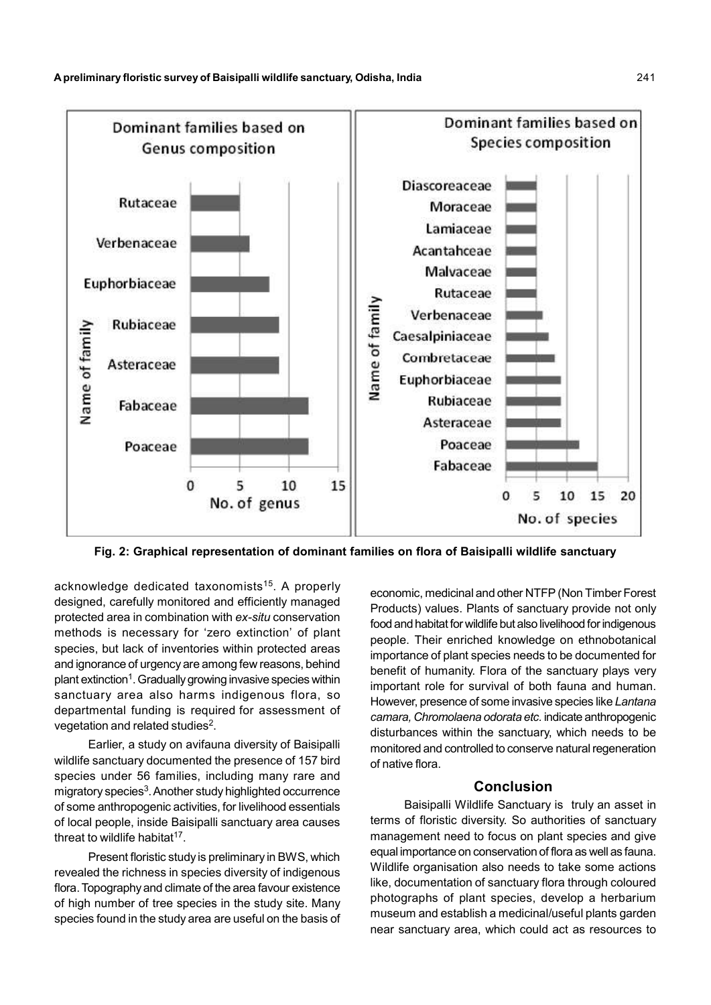

Fig. 2: Graphical representation of dominant families on flora of Baisipalli wildlife sanctuary

acknowledge dedicated taxonomists<sup>15</sup>. A properly designed, carefully monitored and efficiently managed protected area in combination with ex-situ conservation methods is necessary for 'zero extinction' of plant species, but lack of inventories within protected areas and ignorance of urgency are among few reasons, behind plant extinction<sup>1</sup>. Gradually growing invasive species within sanctuary area also harms indigenous flora, so departmental funding is required for assessment of vegetation and related studies<sup>2</sup>.

Earlier, a study on avifauna diversity of Baisipalli wildlife sanctuary documented the presence of 157 bird species under 56 families, including many rare and migratory species<sup>3</sup>. Another study highlighted occurrence of some anthropogenic activities, for livelihood essentials of local people, inside Baisipalli sanctuary area causes threat to wildlife habitat $17$ .

Present floristic study is preliminary in BWS, which revealed the richness in species diversity of indigenous flora. Topography and climate of the area favour existence of high number of tree species in the study site. Many species found in the study area are useful on the basis of economic, medicinal and other NTFP (Non Timber Forest Products) values. Plants of sanctuary provide not only food and habitat for wildlife but also livelihood for indigenous people. Their enriched knowledge on ethnobotanical importance of plant species needs to be documented for benefit of humanity. Flora of the sanctuary plays very important role for survival of both fauna and human. However, presence of some invasive species like Lantana camara, Chromolaena odorata etc. indicate anthropogenic disturbances within the sanctuary, which needs to be monitored and controlled to conserve natural regeneration of native flora.

## Conclusion

Baisipalli Wildlife Sanctuary is truly an asset in terms of floristic diversity. So authorities of sanctuary management need to focus on plant species and give equal importance on conservation of flora as well as fauna. Wildlife organisation also needs to take some actions like, documentation of sanctuary flora through coloured photographs of plant species, develop a herbarium museum and establish a medicinal/useful plants garden near sanctuary area, which could act as resources to